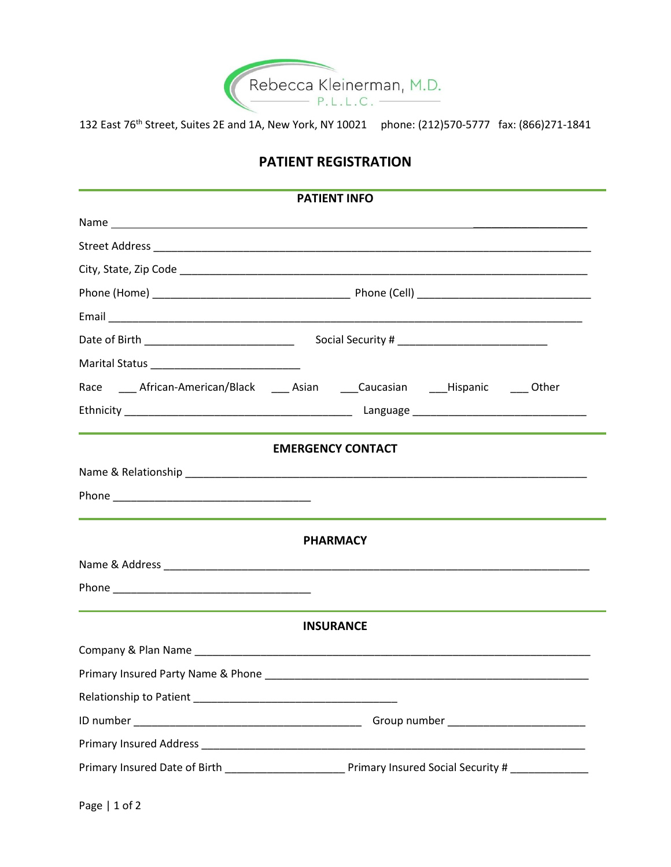

132 East 76th Street, Suites 2E and 1A, New York, NY 10021 phone: (212)570-5777 fax: (866)271-1841

## **PATIENT REGISTRATION**

| <b>PATIENT INFO</b>                                                                     |                          |  |  |  |
|-----------------------------------------------------------------------------------------|--------------------------|--|--|--|
|                                                                                         |                          |  |  |  |
|                                                                                         |                          |  |  |  |
|                                                                                         |                          |  |  |  |
|                                                                                         |                          |  |  |  |
|                                                                                         |                          |  |  |  |
| Date of Birth _________________________________                                         |                          |  |  |  |
|                                                                                         |                          |  |  |  |
| Race _____ African-American/Black _____ Asian ______Caucasian _____Hispanic _____ Other |                          |  |  |  |
|                                                                                         |                          |  |  |  |
|                                                                                         |                          |  |  |  |
|                                                                                         | <b>EMERGENCY CONTACT</b> |  |  |  |
|                                                                                         |                          |  |  |  |
|                                                                                         |                          |  |  |  |
|                                                                                         | <b>PHARMACY</b>          |  |  |  |
|                                                                                         |                          |  |  |  |
|                                                                                         |                          |  |  |  |
|                                                                                         |                          |  |  |  |
|                                                                                         | <b>INSURANCE</b>         |  |  |  |
|                                                                                         |                          |  |  |  |
|                                                                                         |                          |  |  |  |
|                                                                                         |                          |  |  |  |
|                                                                                         |                          |  |  |  |
|                                                                                         |                          |  |  |  |
|                                                                                         |                          |  |  |  |
|                                                                                         |                          |  |  |  |